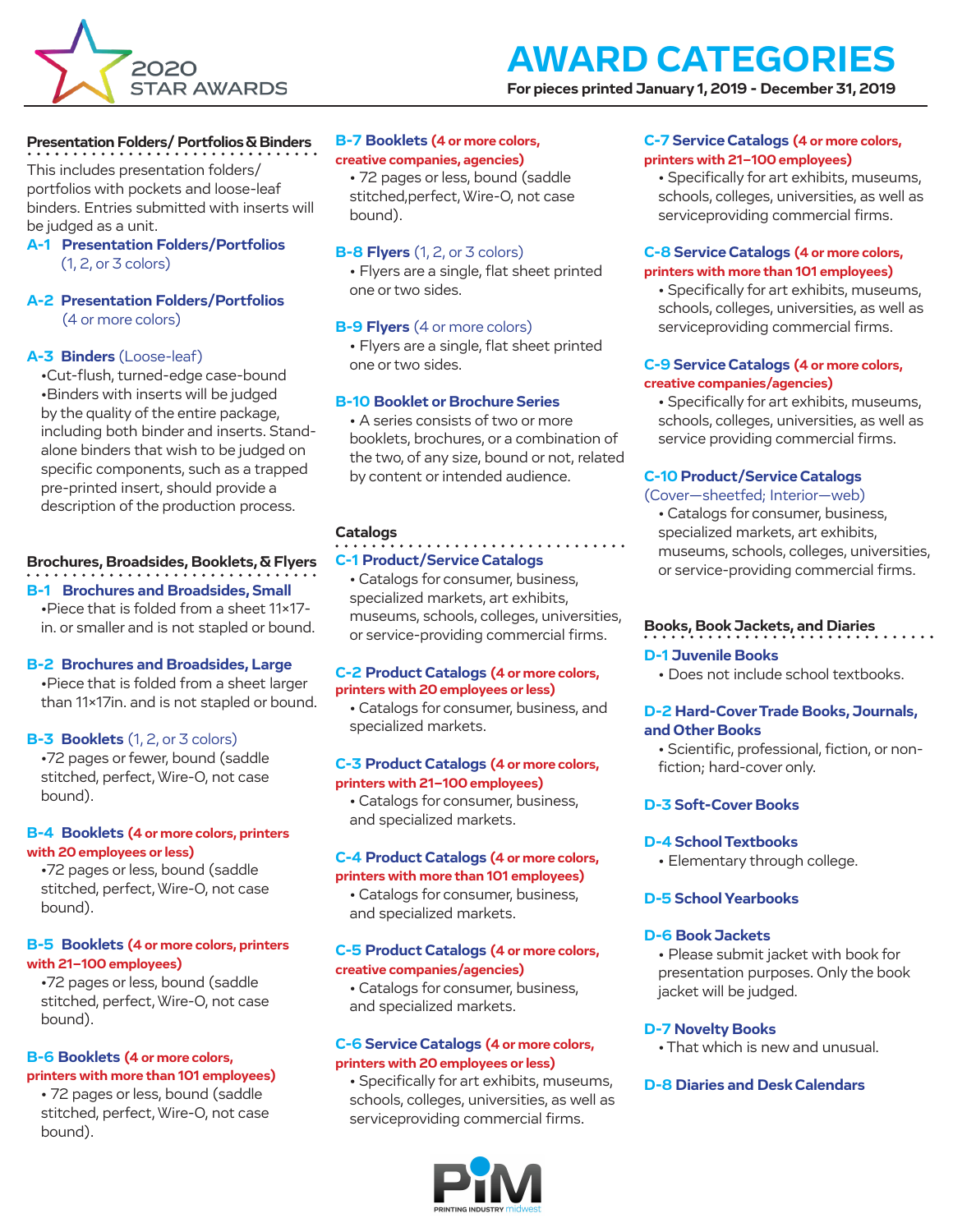

**For pieces printed January 1, 2019 - December 31, 2019**

## **Presentation Folders/ Portfolios & Binders**

This includes presentation folders/ portfolios with pockets and loose-leaf binders. Entries submitted with inserts will be judged as a unit.

## **A-1 Presentation Folders/Portfolios** (1, 2, or 3 colors)

## **A-2 Presentation Folders/Portfolios** (4 or more colors)

## **A-3 Binders** (Loose-leaf)

•Cut-flush, turned-edge case-bound •Binders with inserts will be judged by the quality of the entire package, including both binder and inserts. Standalone binders that wish to be judged on specific components, such as a trapped pre-printed insert, should provide a description of the production process.

## **Brochures, Broadsides, Booklets, & Flyers B-1 Brochures and Broadsides, Small**

•Piece that is folded from a sheet 11x17 in. or smaller and is not stapled or bound.

## **B-2 Brochures and Broadsides, Large**

•Piece that is folded from a sheet larger than 11x17in. and is not stapled or bound.

## **B-3 Booklets** (1, 2, or 3 colors)

•72 pages or fewer, bound (saddle stitched, perfect, Wire-O, not case bound).

## **B-4 Booklets (4 or more colors, printers with 20 employees or less)**

•72 pages or less, bound (saddle stitched, perfect, Wire-O, not case bound).

## **B-5 Booklets (4 or more colors, printers with 21–100 employees)**

•72 pages or less, bound (saddle stitched, perfect, Wire-O, not case bound).

## **B-6 Booklets (4 or more colors, printers with more than 101 employees)**

• 72 pages or less, bound (saddle stitched, perfect, Wire-O, not case bound).

## **B-7 Booklets (4 or more colors, creative companies, agencies)**

• 72 pages or less, bound (saddle stitched,perfect, Wire-O, not case bound).

## **B-8 Flyers** (1, 2, or 3 colors)

• Flyers are a single, flat sheet printed one or two sides.

## **B-9 Flyers** (4 or more colors)

• Flyers are a single, flat sheet printed one or two sides.

## **B-10 Booklet or Brochure Series**

• A series consists of two or more booklets, brochures, or a combination of the two, of any size, bound or not, related by content or intended audience.

## **Catalogs**

## **C-1 Product/Service Catalogs**

• Catalogs for consumer, business, specialized markets, art exhibits, museums, schools, colleges, universities, or service-providing commercial firms.

#### **C-2 Product Catalogs (4 or more colors, printers with 20 employees or less)**

• Catalogs for consumer, business, and specialized markets.

## **C-3 Product Catalogs (4 or more colors, printers with 21–100 employees)**

• Catalogs for consumer, business, and specialized markets.

## **C-4 Product Catalogs (4 or more colors, printers with more than 101 employees)**

• Catalogs for consumer, business, and specialized markets.

## **C-5 Product Catalogs (4 or more colors, creative companies/agencies)**

• Catalogs for consumer, business, and specialized markets.

## **C-6 Service Catalogs (4 or more colors, printers with 20 employees or less)**

• Specifically for art exhibits, museums, schools, colleges, universities, as well as serviceproviding commercial firms.



## **C-7 Service Catalogs (4 or more colors, printers with 21–100 employees)**

• Specifically for art exhibits, museums, schools, colleges, universities, as well as serviceproviding commercial firms.

## **C-8 Service Catalogs (4 or more colors, printers with more than 101 employees)**

• Specifically for art exhibits, museums, schools, colleges, universities, as well as serviceproviding commercial firms.

## **C-9 Service Catalogs (4 or more colors, creative companies/agencies)**

• Specifically for art exhibits, museums, schools, colleges, universities, as well as service providing commercial firms.

## **C-10 Product/Service Catalogs**

## (Cover—sheetfed; Interior—web)

• Catalogs for consumer, business, specialized markets, art exhibits, museums, schools, colleges, universities, or service-providing commercial firms.

## **Books, Book Jackets, and Diaries**

## **D-1 Juvenile Books**

• Does not include school textbooks.

## **D-2 Hard-Cover Trade Books, Journals, and Other Books**

• Scientific, professional, fiction, or nonfiction; hard-cover only.

## **D-3 Soft-Cover Books**

## **D-4 School Textbooks**

• Elementary through college.

## **D-5 School Yearbooks**

## **D-6 Book Jackets**

• Please submit jacket with book for presentation purposes. Only the book jacket will be judged.

## **D-7 Novelty Books**

• That which is new and unusual.

## **D-8 Diaries and Desk Calendars**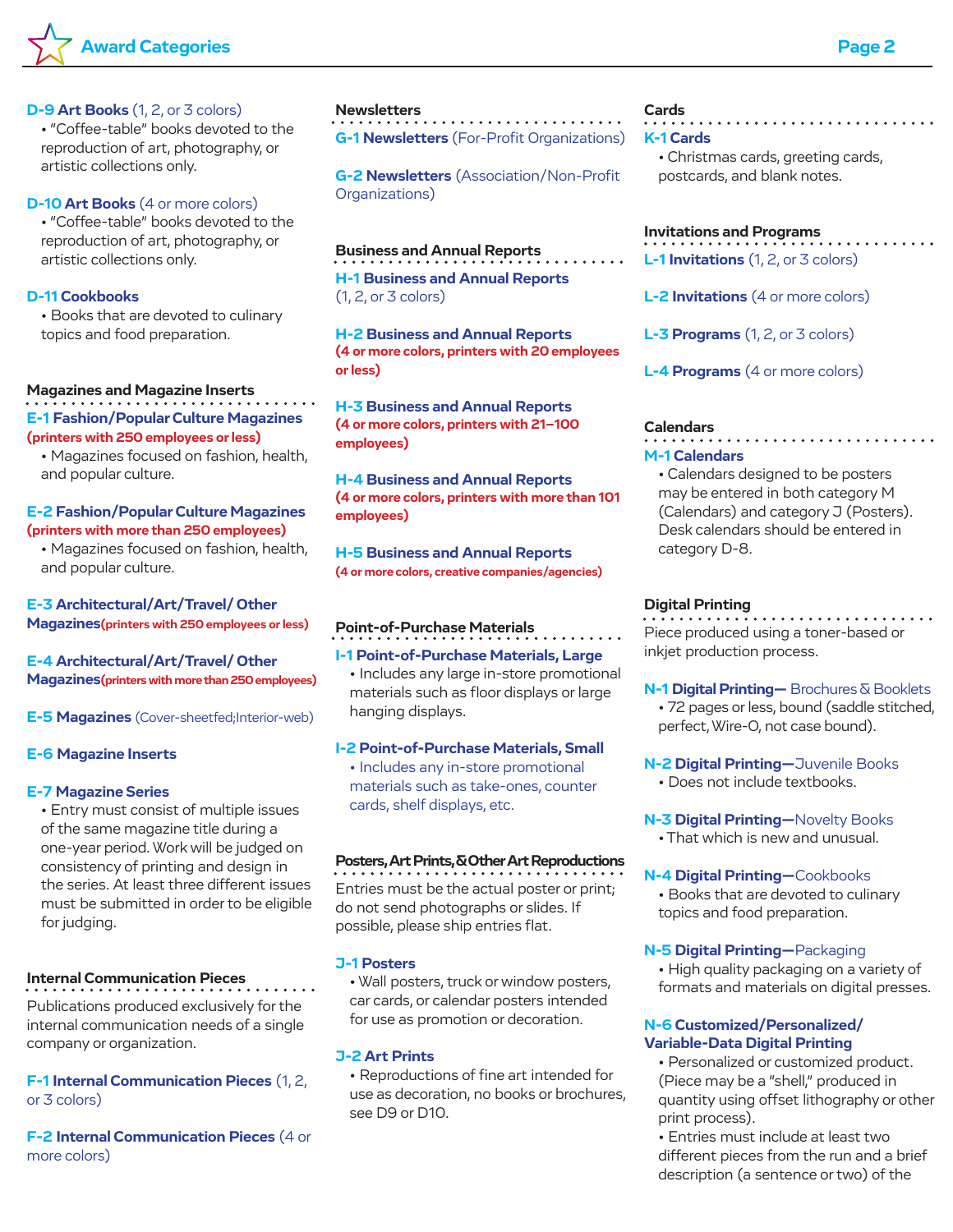

#### **D-9 Art Books** (1, 2, or 3 colors)

• "Coffee-table" books devoted to the reproduction of art, photography, or artistic collections only.

## **D-10 Art Books** (4 or more colors)

• "Coffee-table" books devoted to the reproduction of art, photography, or artistic collections only.

## **D-11 Cookbooks**

• Books that are devoted to culinary topics and food preparation.

## **Magazines and Magazine Inserts**

**E-1 Fashion/Popular Culture Magazines (printers with 250 employees or less)**

• Magazines focused on fashion, health, and popular culture.

## **E-2 Fashion/Popular Culture Magazines (printers with more than 250 employees)**

• Magazines focused on fashion, health, and popular culture.

## **E-3 Architectural/Art/Travel/ Other Magazines(printers with 250 employees or less)**

**E-4 Architectural/Art/Travel/ Other Magazines(printers with more than 250 employees)**

**E-5 Magazines** (Cover-sheetfed;Interior-web)

## **E-6 Magazine Inserts**

#### **E-7 Magazine Series**

• Entry must consist of multiple issues of the same magazine title during a one-year period. Work will be judged on consistency of printing and design in the series. At least three different issues must be submitted in order to be eligible for judging.

## **Internal Communication Pieces**

Publications produced exclusively for the internal communication needs of a single company or organization.

**F-1 Internal Communication Pieces** (1, 2, or 3 colors)

**F-2 Internal Communication Pieces** (4 or more colors)

#### **Newsletters**

**G-1 Newsletters** (For-Profit Organizations)

**G-2 Newsletters** (Association/Non-Profit Organizations)

#### **Business and Annual Reports**

**H-1 Business and Annual Reports** (1, 2, or 3 colors)

**H-2 Business and Annual Reports (4 or more colors, printers with 20 employees or less)**

**H-3 Business and Annual Reports (4 or more colors, printers with 21–100 employees)**

**H-4 Business and Annual Reports (4 or more colors, printers with more than 101 employees)**

**H-5 Business and Annual Reports (4 or more colors, creative companies/agencies)**

## **Point-of-Purchase Materials**

## **I-1 Point-of-Purchase Materials, Large**

• Includes any large in-store promotional materials such as floor displays or large hanging displays.

## **I-2 Point-of-Purchase Materials, Small**

• Includes any in-store promotional materials such as take-ones, counter cards, shelf displays, etc.

#### **Posters, Art Prints, & Other Art Reproductions**

Entries must be the actual poster or print; do not send photographs or slides. If possible, please ship entries flat.

## **J-1 Posters**

• Wall posters, truck or window posters, car cards, or calendar posters intended for use as promotion or decoration.

#### **J-2 Art Prints**

• Reproductions of fine art intended for use as decoration, no books or brochures, see D9 or D10.

## **Cards**

## **K-1 Cards**

• Christmas cards, greeting cards, postcards, and blank notes.

## **Invitations and Programs**

**L-1 Invitations** (1, 2, or 3 colors)

**L-2 Invitations** (4 or more colors)

**L-3 Programs** (1, 2, or 3 colors)

**L-4 Programs** (4 or more colors)

## **Calendars**

## **M-1 Calendars**

• Calendars designed to be posters may be entered in both category M (Calendars) and category J (Posters). Desk calendars should be entered in category D-8.

#### **Digital Printing**

Piece produced using a toner-based or inkjet production process.

#### **N-1 Digital Printing—** Brochures & Booklets

• 72 pages or less, bound (saddle stitched, perfect, Wire-O, not case bound).

**N-2 Digital Printing—**Juvenile Books

- Does not include textbooks.
- **N-3 Digital Printing—**Novelty Books
	- That which is new and unusual.
- **N-4 Digital Printing—**Cookbooks • Books that are devoted to culinary topics and food preparation.

#### **N-5 Digital Printing—**Packaging

• High quality packaging on a variety of formats and materials on digital presses.

## **N-6 Customized/Personalized/ Variable-Data Digital Printing**

• Personalized or customized product. (Piece may be a "shell," produced in quantity using offset lithography or other print process).

• Entries must include at least two different pieces from the run and a brief description (a sentence or two) of the

. . . . . . . . . . . . . . . . . . .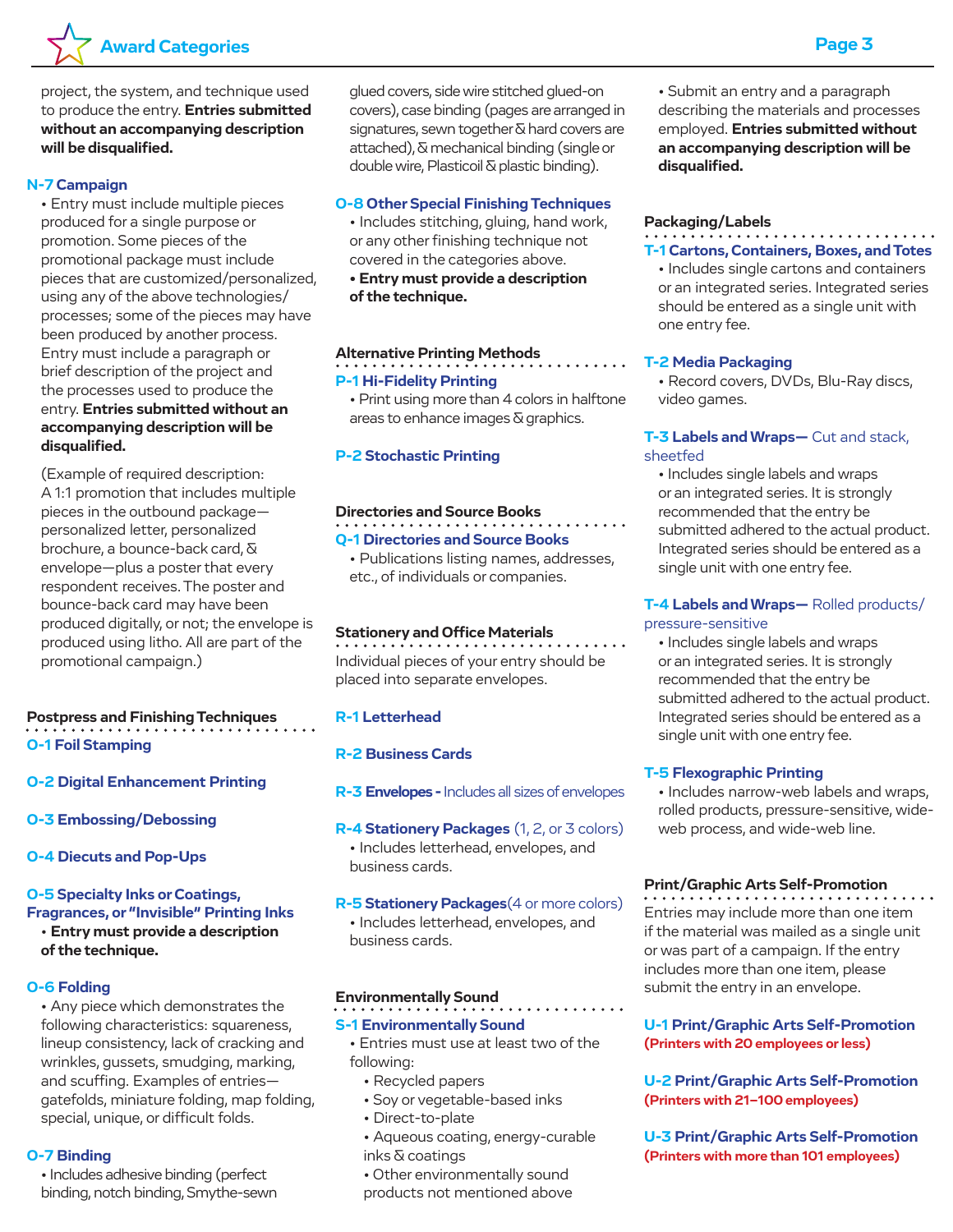

project, the system, and technique used to produce the entry. **Entries submitted without an accompanying description will be disqualified.**

## **N-7 Campaign**

• Entry must include multiple pieces produced for a single purpose or promotion. Some pieces of the promotional package must include pieces that are customized/personalized, using any of the above technologies/ processes; some of the pieces may have been produced by another process. Entry must include a paragraph or brief description of the project and the processes used to produce the entry. **Entries submitted without an accompanying description will be disqualified.**

(Example of required description: A 1:1 promotion that includes multiple pieces in the outbound package personalized letter, personalized brochure, a bounce-back card, & envelope—plus a poster that every respondent receives. The poster and bounce-back card may have been produced digitally, or not; the envelope is produced using litho. All are part of the promotional campaign.)

# **Postpress and Finishing Techniques**

**O-1 Foil Stamping**

- **O-2 Digital Enhancement Printing**
- **O-3 Embossing/Debossing**
- **O-4 Diecuts and Pop-Ups**

## **O-5 Specialty Inks or Coatings, Fragrances, or "Invisible" Printing Inks**

• **Entry must provide a description of the technique.**

## **O-6 Folding**

• Any piece which demonstrates the following characteristics: squareness, lineup consistency, lack of cracking and wrinkles, gussets, smudging, marking, and scuffing. Examples of entries gatefolds, miniature folding, map folding, special, unique, or difficult folds.

## **O-7 Binding**

• Includes adhesive binding (perfect binding, notch binding, Smythe-sewn glued covers, side wire stitched glued-on covers), case binding (pages are arranged in signatures, sewn together & hard covers are attached), & mechanical binding (single or double wire, Plasticoil & plastic binding).

## **O-8 Other Special Finishing Techniques**

• Includes stitching, gluing, hand work, or any other finishing technique not covered in the categories above.

**• Entry must provide a description of the technique.**

#### **Alternative Printing Methods**

## **P-1 Hi-Fidelity Printing**

• Print using more than 4 colors in halftone areas to enhance images & graphics.

#### **P-2 Stochastic Printing**

## **Directories and Source Books**

## **Q-1 Directories and Source Books**

• Publications listing names, addresses, etc., of individuals or companies.

## **Stationery and Office Materials**

Individual pieces of your entry should be placed into separate envelopes.

## **R-1 Letterhead**

## **R-2 Business Cards**

- **R-3 Envelopes** Includes all sizes of envelopes
- **R-4 Stationery Packages** (1, 2, or 3 colors) • Includes letterhead, envelopes, and business cards.
- **R-5 Stationery Packages**(4 or more colors) • Includes letterhead, envelopes, and business cards.

#### **Environmentally Sound**

## **S-1 Environmentally Sound**

• Entries must use at least two of the following:

- Recycled papers
- Soy or vegetable-based inks
- Direct-to-plate
- Aqueous coating, energy-curable inks & coatings
- Other environmentally sound products not mentioned above

• Submit an entry and a paragraph describing the materials and processes employed. **Entries submitted without an accompanying description will be disqualified.**

## **Packaging/Labels**

## **T-1 Cartons, Containers, Boxes, and Totes**

• Includes single cartons and containers or an integrated series. Integrated series should be entered as a single unit with one entry fee.

#### **T-2 Media Packaging**

• Record covers, DVDs, Blu-Ray discs, video games.

## **T-3 Labels and Wraps—** Cut and stack, sheetfed

• Includes single labels and wraps or an integrated series. It is strongly recommended that the entry be submitted adhered to the actual product. Integrated series should be entered as a single unit with one entry fee.

## **T-4 Labels and Wraps—** Rolled products/ pressure-sensitive

• Includes single labels and wraps or an integrated series. It is strongly recommended that the entry be submitted adhered to the actual product. Integrated series should be entered as a single unit with one entry fee.

## **T-5 Flexographic Printing**

• Includes narrow-web labels and wraps, rolled products, pressure-sensitive, wideweb process, and wide-web line.

## **Print/Graphic Arts Self-Promotion**

Entries may include more than one item if the material was mailed as a single unit or was part of a campaign. If the entry includes more than one item, please submit the entry in an envelope.

## **U-1 Print/Graphic Arts Self-Promotion (Printers with 20 employees or less)**

## **U-2 Print/Graphic Arts Self-Promotion (Printers with 21–100 employees)**

**U-3 Print/Graphic Arts Self-Promotion (Printers with more than 101 employees)**